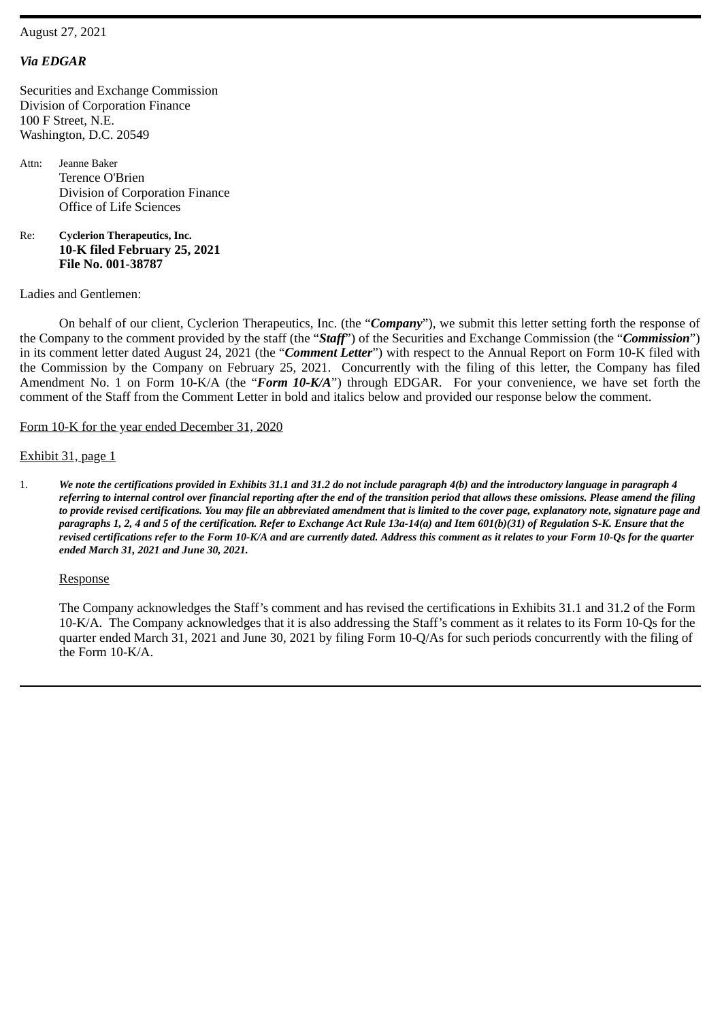## *Via EDGAR*

Securities and Exchange Commission Division of Corporation Finance 100 F Street, N.E. Washington, D.C. 20549

Attn: Jeanne Baker Terence O'Brien Division of Corporation Finance Office of Life Sciences

Re: **Cyclerion Therapeutics, Inc. 10-K filed February 25, 2021 File No. 001-38787**

Ladies and Gentlemen:

On behalf of our client, Cyclerion Therapeutics, Inc. (the "*Company*"), we submit this letter setting forth the response of the Company to the comment provided by the staff (the "*Staff*") of the Securities and Exchange Commission (the "*Commission*") in its comment letter dated August 24, 2021 (the "*Comment Letter*") with respect to the Annual Report on Form 10-K filed with the Commission by the Company on February 25, 2021. Concurrently with the filing of this letter, the Company has filed Amendment No. 1 on Form 10-K/A (the "*Form 10-K/A*") through EDGAR. For your convenience, we have set forth the comment of the Staff from the Comment Letter in bold and italics below and provided our response below the comment.

Form 10-K for the year ended December 31, 2020

## Exhibit 31, page 1

1. We note the certifications provided in Exhibits 31.1 and 31.2 do not include paragraph 4(b) and the introductory language in paragraph 4 referring to internal control over financial reporting after the end of the transition period that allows these omissions. Please amend the filing to provide revised certifications. You may file an abbreviated amendment that is limited to the cover page, explanatory note, signature page and paragraphs 1, 2, 4 and 5 of the certification. Refer to Exchange Act Rule 13a-14(a) and Item 601(b)(31) of Regulation S-K. Ensure that the revised certifications refer to the Form 10-K/A and are currently dated. Address this comment as it relates to your Form 10-Qs for the quarter *ended March 31, 2021 and June 30, 2021.*

## Response

The Company acknowledges the Staff's comment and has revised the certifications in Exhibits 31.1 and 31.2 of the Form 10-K/A. The Company acknowledges that it is also addressing the Staff's comment as it relates to its Form 10-Qs for the quarter ended March 31, 2021 and June 30, 2021 by filing Form 10-Q/As for such periods concurrently with the filing of the Form 10-K/A.